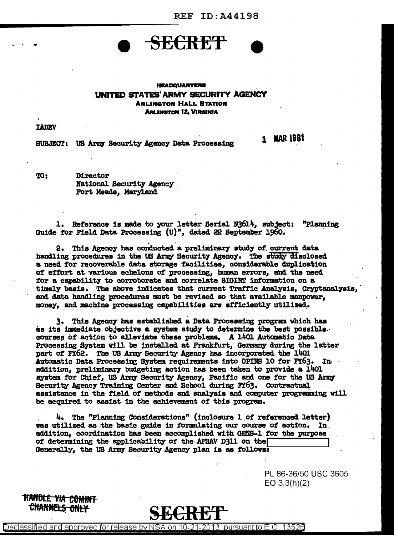**1 MAR 1961** 



## **HEADQUARTERS** UNITED STATES ARMY SECURITY AGENCY **ARLINGTON HALL STATION ARLINGTON 12, VIRGINIA**

**TADEV** 

SUBJECT: US Army Security Agency Data Processing

TO: Director **National Security Agency** Fort Meade, Maryland

1. Reference is made to your letter Serial N3614, subject: "Planning Guide for Field Data Processing (U)", dated 22 September 1960.

2. This Agency has conducted a preliminary study of current data handling procedures in the US Army Security Agency. The study disclosed a need for recoverable data storage facilities, considerable duplication of effort at various echelons of processing, human errors, and the need for a capability to corroborate and correlate SIGINT information on a timely basis. The above indicates that current Traffic Analysis, Cryptanalysis, and data handling procedures must be revised so that available manpower. money, and machine processing capabilities are efficiently utilized.

3. This Agency has established a Data Processing program which has as its immediate objective a system study to determine the best possible. courses of action to alleviate these problems. A 1401 Automatic Data Processing System will be installed at Frankfurt, Germany during the latter part of FY62. The US Army Security Agency has incorporated the 1401 Automatic Data Processing System requirements into OPINS 10 for FY63. In addition, preliminary budgeting action has been taken to provide a 1401 system for Chief, US Army Security Agency, Pacific and one for the US Army Security Agency Training Center and School during FY63. Contractual assistance in the field of methods and analysis and computer programming will be acquired to assist in the achievement of this program.

4. The "Planning Considerations" (inclosure 1 of referenced letter) was utilized as the basic guide in formulating our course of action. In addition, coordination has been accomplished with GENS-1 for the purpose of determining the applicability of the AFSAV D311 on the Generally, the US Army Security Agency plan is as follows:

> PL 86-36/50 USC 3605  $EO 3.3(h)(2)$

HANDL<del>E VIA COMINT</del> CHANNE<del>LS ONLY</del>

Declassified and approved for release by NSA on 13526 21-2013 pursuant to E.O.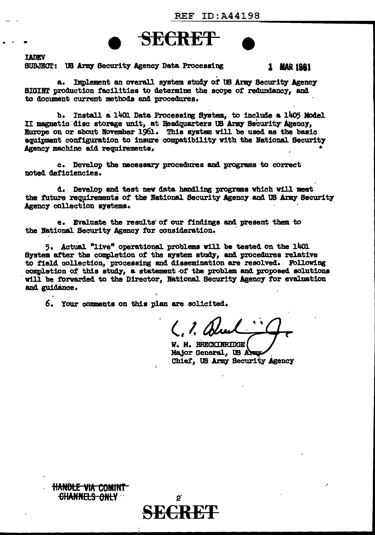

**LADEV** 

SUBJECT: US Army Security Agency Data Processing

1 MAR 1961

Implement an overall system study of US Army Security Agency 8. SIGINT production facilities to determine the scope of redundancy, and to document current methods and procedures.

b. Install a 1401 Data Processing System, to include a 1405 Model II magnetic disc storage unit, at Headquarters US Army Security Agency, Europe on or about November 1961. This system will be used as the basic equipment configuration to insure compatibility with the National Security Agency machine aid requirements,

c. Develop the necessary procedures and programs to correct noted deficiencies.

d. Develop and test new data handling programs which will meet the future requirements of the National Security Agency and US Army Security Agency collection systems.

e. Evaluate the results of our findings and present them to the National Security Agency for consideration.

5. Actual "live" operational problems will be tested on the 1401 System after the completion of the system study, and procedures relative to field collection, processing and dissemination are resolved. Following completion of this study, a statement of the problem and proposed solutions will be forwarded to the Director, National Security Agency for evaluation and guidance.

6. Your comments on this plan are solicited.

**HANDLE VIA COMINT** CHANNELS ONLY

 $($ ,  $2d$ 

W. M. BRECKINRIDGE Major General, US Army Chief, US Army Security Agency

 $2^{r}$ **ECR**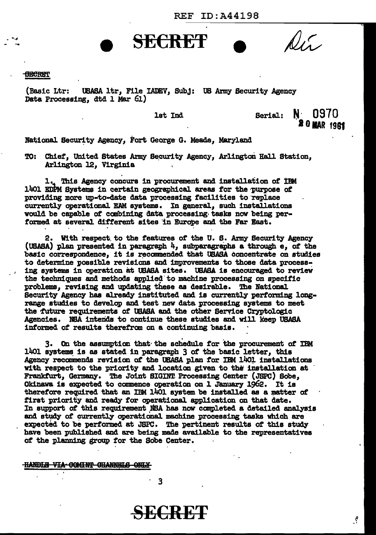REF ID:A44198

#### **SECRET**

(Basic Ltr: USASA 1tr, File IADEV, Subj: US Army Security Agency Data Processing, dtd 1 Mar 61)

lat Ind

**SECRET** 

Serial:  $N \cdot 0970$ **20 MAR 1981** 

 $\mathcal{S}$ 

 $\mathbb{Q}_{\ell}$ 

National Security Agency, Fort George G. Meade, Maryland

TO: Chief, United States Army Security Agency, Arlington Hall Station. Arlington *12,* Virginia

1.. This Agency concurs in procurement and installation of IBM 1401 EDPM Systems in certain geographical areas for the purpose of providing more up-to-date data processing facilities to replace currently operational EAM systems. In general, such installations vould be capable of canbining data processing· tasks now being performed at several different sites in Europe and the Far East.

2. Vi th respect. to the features of the U. S. Army Security Agency (USASA) plan presented in paragraph  $4$ , subparagraphs a through  $e$ , of the basic correspondence, it is recommended that USASA concentrate on studies to determine possible revisions and improvements to those data process-<br>ing systems in operation at USASA sites. USASA is encouraged to review the techniques and methods applied to machine processing on specific problems, revising and updating these aa desirable. The BationaJ. Security Agency has already instituted and is currently performing longrange studies to develop and test new data processing systems to meet the future requirements of USASA and the other Service Cryptologic Agencies. NSA intends to continue these studies and will keep USASA informed of results therefran on a continuing basis.

3. On the assumption that· the schedule for the procurement of IBM 1401 systems is as stated in paragraph 3 of the basic letter, this Agency recommends revision of the USASA plan for IBM 1401 installations with respect to the priority and location given to the installation at Frankturt, Germany. The Joint SIGINT. Processing Center (JSPC) Sobe, Okinawa is expected to commence operation on 1 January 1962. It is therefore required that an IBM 1401 system be installed as a matter of first priority and ready for operational application on that date. In support of this requirement NBA has now completed a detailed analysis and study of currently operational machine processing tasks which are expected to be performed at JSPC. The pertinent results of this study have been published and are being made available to the representatives of the planning group for the Sobe Center.

#### **HANDLE VIA COMINT CHANNELS ONLY**

3

**SECRET**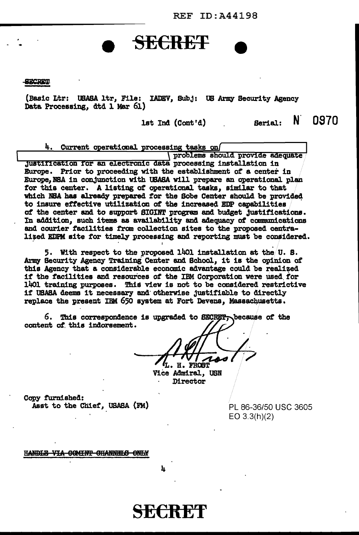**REF ID: A44198** 

**SECRET** 

(Basic Ltr: USASA ltr. File: IADEV. Sub.j: US Army Security Agency Data Processing, dtd 1 Mar 61)

**SECRET** 

lst Ind (Cont'd)

4. Current operational processing tasks on problems should provide adequate justification for an electronic data processing installation in Europe. Prior to proceeding with the establishment of a center in Europe, NSA in conjunction with USASA will prepare an operational plan for this center. A listing of operational tasks, similar to that which NBA has already prepared for the Sobe Center should be provided to insure effective utilization of the increased EDP capabilities of the center and to support SIGINT program and budget Justifications. In addition, such items as availability and adequacy of communications and courier facilities from collection sites to the proposed centralized EDPM site for timely processing and reporting must be considered.

5. With respect to the proposed 1401 installation at the U.S. Army Security Agency Training Center and School, it is the opinion of this Agency that a considerable economic advantage could be realized if the facilities and resources of the IRM Corporation were used for 1401 training purposes. This view is not to be considered restrictive if USASA deems it necessary and otherwise justifiable to directly replace the present IRM 650 system at Fort Devens, Massachusetts.

6. This correspondence is upgraded to SECRET, because of the content of this indorsement.

 $H<sub>2</sub>$ **FROST** 

Vice Admiral, USN Director

Copy furnished: Asst to the Chief, USASA (FM)

PL 86-36/50 USC 3605  $EO 3.3(h)(2)$ 

N 0970

Serial:

HANDLE VIA COMINT CHANNELS ONLY

h

SECRET